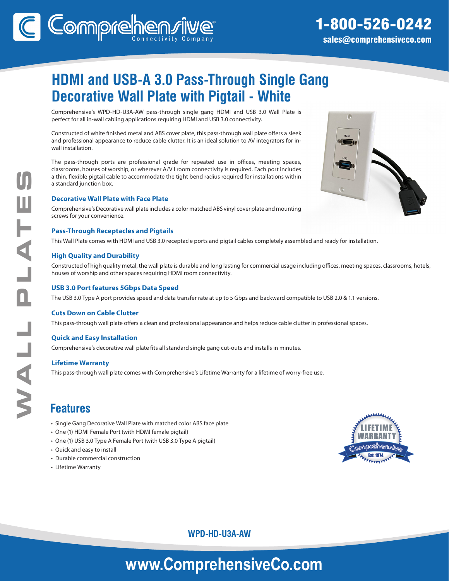# **HDMI and USB-A 3.0 Pass-Through Single Gang Decorative Wall Plate with Pigtail - White**

Comprehensive's WPD-HD-U3A-AW pass-through single gang HDMI and USB 3.0 Wall Plate is perfect for all in-wall cabling applications requiring HDMI and USB 3.0 connectivity.

Constructed of white finished metal and ABS cover plate, this pass-through wall plate offers a sleek and professional appearance to reduce cable clutter. It is an ideal solution to AV integrators for inwall installation.

The pass-through ports are professional grade for repeated use in offices, meeting spaces, classrooms, houses of worship, or wherever A/V I room connectivity is required. Each port includes a thin, flexible pigtail cable to accommodate the tight bend radius required for installations within a standard junction box.

### **Decorative Wall Plate with Face Plate**

Comprehensive's Decorative wall plate includes a color matched ABS vinyl cover plate and mounting screws for your convenience.

### **Pass-Through Receptacles and Pigtails**

This Wall Plate comes with HDMI and USB 3.0 receptacle ports and pigtail cables completely assembled and ready for installation.

### **High Quality and Durability**

Constructed of high quality metal, the wall plate is durable and long lasting for commercial usage including offices, meeting spaces, classrooms, hotels, houses of worship and other spaces requiring HDMI room connectivity.

### **USB 3.0 Port features 5Gbps Data Speed**

The USB 3.0 Type A port provides speed and data transfer rate at up to 5 Gbps and backward compatible to USB 2.0 & 1.1 versions.

### **Cuts Down on Cable Clutter**

This pass-through wall plate offers a clean and professional appearance and helps reduce cable clutter in professional spaces.

### **Quick and Easy Installation**

Comprehensive's decorative wall plate fits all standard single gang cut-outs and installs in minutes.

### **Lifetime Warranty**

This pass-through wall plate comes with Comprehensive's Lifetime Warranty for a lifetime of worry-free use.

### **Features**

- Single Gang Decorative Wall Plate with matched color ABS face plate
- One (1) HDMI Female Port (with HDMI female pigtail)
- One (1) USB 3.0 Type A Female Port (with USB 3.0 Type A pigtail)
- Quick and easy to install
- Durable commercial construction
- Lifetime Warranty



### **WPD-HD-U3A-AW**

# **www.ComprehensiveCo.com**